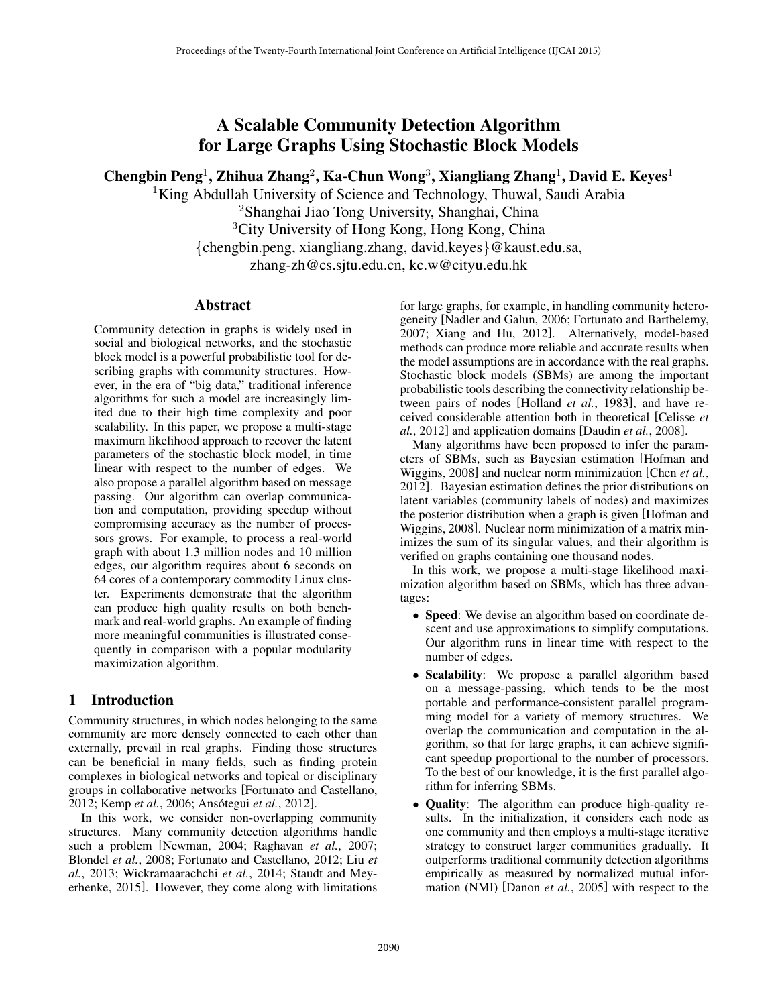# A Scalable Community Detection Algorithm for Large Graphs Using Stochastic Block Models

Chengbin Peng<sup>1</sup>, Zhihua Zhang<sup>2</sup>, Ka-Chun Wong<sup>3</sup>, Xiangliang Zhang<sup>1</sup>, David E. Keyes<sup>1</sup>

<sup>1</sup>King Abdullah University of Science and Technology, Thuwal, Saudi Arabia <sup>2</sup>Shanghai Jiao Tong University, Shanghai, China <sup>3</sup>City University of Hong Kong, Hong Kong, China {chengbin.peng, xiangliang.zhang, david.keyes}@kaust.edu.sa, zhang-zh@cs.sjtu.edu.cn, kc.w@cityu.edu.hk

## Abstract

Community detection in graphs is widely used in social and biological networks, and the stochastic block model is a powerful probabilistic tool for describing graphs with community structures. However, in the era of "big data," traditional inference algorithms for such a model are increasingly limited due to their high time complexity and poor scalability. In this paper, we propose a multi-stage maximum likelihood approach to recover the latent parameters of the stochastic block model, in time linear with respect to the number of edges. We also propose a parallel algorithm based on message passing. Our algorithm can overlap communication and computation, providing speedup without compromising accuracy as the number of processors grows. For example, to process a real-world graph with about 1.3 million nodes and 10 million edges, our algorithm requires about 6 seconds on 64 cores of a contemporary commodity Linux cluster. Experiments demonstrate that the algorithm can produce high quality results on both benchmark and real-world graphs. An example of finding more meaningful communities is illustrated consequently in comparison with a popular modularity maximization algorithm.

## 1 Introduction

Community structures, in which nodes belonging to the same community are more densely connected to each other than externally, prevail in real graphs. Finding those structures can be beneficial in many fields, such as finding protein complexes in biological networks and topical or disciplinary groups in collaborative networks [Fortunato and Castellano, 2012; Kemp et al., 2006; Ansótegui et al., 2012].

In this work, we consider non-overlapping community structures. Many community detection algorithms handle such a problem [Newman, 2004; Raghavan *et al.*, 2007; Blondel *et al.*, 2008; Fortunato and Castellano, 2012; Liu *et al.*, 2013; Wickramaarachchi *et al.*, 2014; Staudt and Meyerhenke, 2015]. However, they come along with limitations for large graphs, for example, in handling community heterogeneity [Nadler and Galun, 2006; Fortunato and Barthelemy, 2007; Xiang and Hu, 2012]. Alternatively, model-based methods can produce more reliable and accurate results when the model assumptions are in accordance with the real graphs. Stochastic block models (SBMs) are among the important probabilistic tools describing the connectivity relationship between pairs of nodes [Holland *et al.*, 1983], and have received considerable attention both in theoretical [Celisse *et al.*, 2012] and application domains [Daudin *et al.*, 2008].

Many algorithms have been proposed to infer the parameters of SBMs, such as Bayesian estimation [Hofman and Wiggins, 2008] and nuclear norm minimization [Chen *et al.*, 2012]. Bayesian estimation defines the prior distributions on latent variables (community labels of nodes) and maximizes the posterior distribution when a graph is given [Hofman and Wiggins, 2008]. Nuclear norm minimization of a matrix minimizes the sum of its singular values, and their algorithm is verified on graphs containing one thousand nodes.

In this work, we propose a multi-stage likelihood maximization algorithm based on SBMs, which has three advantages:

- Speed: We devise an algorithm based on coordinate descent and use approximations to simplify computations. Our algorithm runs in linear time with respect to the number of edges.
- Scalability: We propose a parallel algorithm based on a message-passing, which tends to be the most portable and performance-consistent parallel programming model for a variety of memory structures. We overlap the communication and computation in the algorithm, so that for large graphs, it can achieve significant speedup proportional to the number of processors. To the best of our knowledge, it is the first parallel algorithm for inferring SBMs.
- Quality: The algorithm can produce high-quality results. In the initialization, it considers each node as one community and then employs a multi-stage iterative strategy to construct larger communities gradually. It outperforms traditional community detection algorithms empirically as measured by normalized mutual information (NMI) [Danon *et al.*, 2005] with respect to the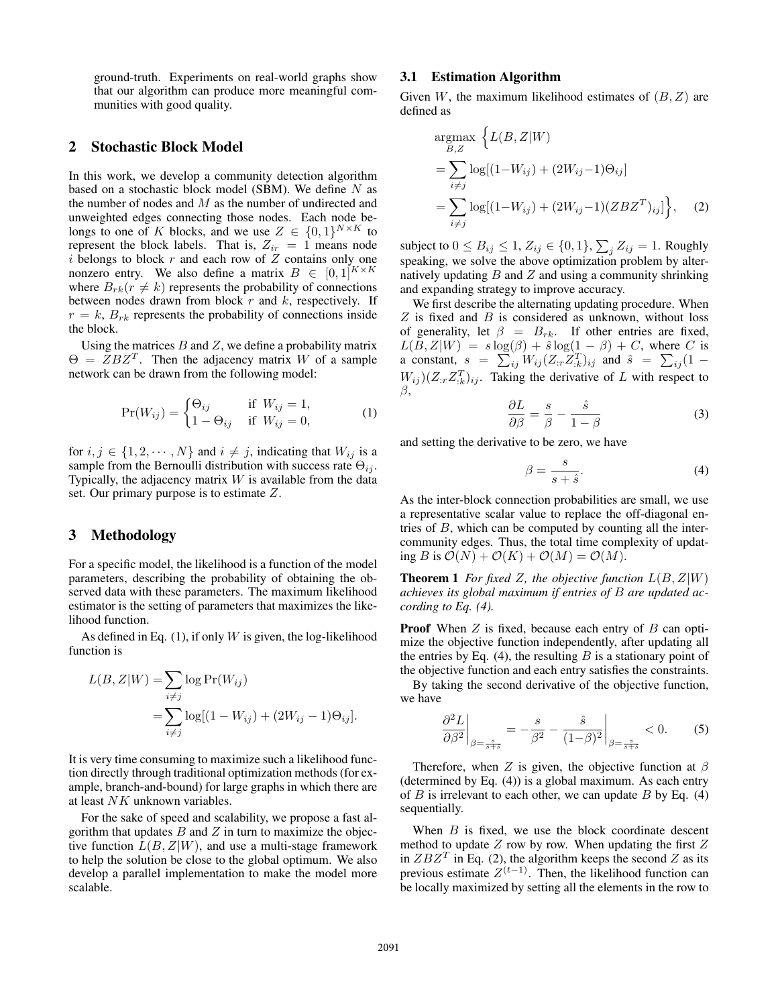ground-truth. Experiments on real-world graphs show that our algorithm can produce more meaningful communities with good quality.

## 2 Stochastic Block Model

In this work, we develop a community detection algorithm based on a stochastic block model (SBM). We define  $N$  as the number of nodes and  $M$  as the number of undirected and unweighted edges connecting those nodes. Each node belongs to one of K blocks, and we use  $Z \in \{0,1\}^{N \times K}$  to represent the block labels. That is,  $Z_{ir} = 1$  means node  $i$  belongs to block  $r$  and each row of  $Z$  contains only one nonzero entry. We also define a matrix  $B \in [0,1]^{K \times K}$ where  $B_{rk}(r \neq k)$  represents the probability of connections between nodes drawn from block  $r$  and  $k$ , respectively. If  $r = k$ ,  $B_{rk}$  represents the probability of connections inside the block.

Using the matrices  $B$  and  $Z$ , we define a probability matrix  $\Theta = \overline{Z} B Z^T$ . Then the adjacency matrix W of a sample network can be drawn from the following model:

$$
\Pr(W_{ij}) = \begin{cases} \Theta_{ij} & \text{if } W_{ij} = 1, \\ 1 - \Theta_{ij} & \text{if } W_{ij} = 0, \end{cases}
$$
 (1)

for  $i, j \in \{1, 2, \dots, N\}$  and  $i \neq j$ , indicating that  $W_{ij}$  is a sample from the Bernoulli distribution with success rate  $\Theta_{ij}$ . Typically, the adjacency matrix  $W$  is available from the data set. Our primary purpose is to estimate Z.

#### 3 Methodology

For a specific model, the likelihood is a function of the model parameters, describing the probability of obtaining the observed data with these parameters. The maximum likelihood estimator is the setting of parameters that maximizes the likelihood function.

As defined in Eq.  $(1)$ , if only W is given, the log-likelihood function is

$$
L(B, Z|W) = \sum_{i \neq j} \log \Pr(W_{ij})
$$
  
= 
$$
\sum_{i \neq j} \log[(1 - W_{ij}) + (2W_{ij} - 1)\Theta_{ij}].
$$

It is very time consuming to maximize such a likelihood function directly through traditional optimization methods (for example, branch-and-bound) for large graphs in which there are at least NK unknown variables.

For the sake of speed and scalability, we propose a fast algorithm that updates  $B$  and  $Z$  in turn to maximize the objective function  $L(B, Z|W)$ , and use a multi-stage framework to help the solution be close to the global optimum. We also develop a parallel implementation to make the model more scalable.

#### 3.1 Estimation Algorithm

Given W, the maximum likelihood estimates of  $(B, Z)$  are defined as

$$
\underset{B,Z}{\text{argmax}} \left\{ L(B, Z | W) \right\}
$$
\n
$$
= \sum_{i \neq j} \log[(1 - W_{ij}) + (2W_{ij} - 1)\Theta_{ij}]
$$
\n
$$
= \sum_{i \neq j} \log[(1 - W_{ij}) + (2W_{ij} - 1)(ZBZ^{T})_{ij}] \right\}, \quad (2)
$$

subject to  $0 \leq B_{ij} \leq 1$ ,  $Z_{ij} \in \{0,1\}$ ,  $\sum_j Z_{ij} = 1$ . Roughly speaking, we solve the above optimization problem by alternatively updating  $B$  and  $Z$  and using a community shrinking and expanding strategy to improve accuracy.

We first describe the alternating updating procedure. When  $Z$  is fixed and  $B$  is considered as unknown, without loss of generality, let  $\beta = B_{rk}$ . If other entries are fixed,  $L(B, Z|W) = s \log(\beta) + \hat{s} \log(\frac{1}{2} - \beta) + C$ , where C is a constant,  $s = \sum_{ij} W_{ij} (Z_{ir} Z_{ik}^T)_{ij}$  and  $\hat{s} = \sum_{ij} (1 W_{ij}$ )( $Z_{:r}Z_{:k}^{T}$ )<sub>ij</sub>. Taking the derivative of L with respect to β,

$$
\frac{\partial L}{\partial \beta} = \frac{s}{\beta} - \frac{\hat{s}}{1 - \beta} \tag{3}
$$

and setting the derivative to be zero, we have

$$
\beta = \frac{s}{s + \hat{s}}.\tag{4}
$$

As the inter-block connection probabilities are small, we use a representative scalar value to replace the off-diagonal entries of  $B$ , which can be computed by counting all the intercommunity edges. Thus, the total time complexity of updating B is  $\mathcal{O}(N) + \mathcal{O}(K) + \mathcal{O}(M) = \mathcal{O}(M)$ .

**Theorem 1** *For fixed* Z, the objective function  $L(B, Z|W)$ *achieves its global maximum if entries of* B *are updated according to Eq. (4).*

**Proof** When  $Z$  is fixed, because each entry of  $B$  can optimize the objective function independently, after updating all the entries by Eq. (4), the resulting  $B$  is a stationary point of the objective function and each entry satisfies the constraints.

By taking the second derivative of the objective function, we have

$$
\left. \frac{\partial^2 L}{\partial \beta^2} \right|_{\beta = \frac{s}{s+\tilde{s}}} = -\frac{s}{\beta^2} - \frac{\hat{s}}{(1-\beta)^2} \bigg|_{\beta = \frac{s}{s+\tilde{s}}} < 0. \tag{5}
$$

Therefore, when Z is given, the objective function at  $\beta$ (determined by Eq. (4)) is a global maximum. As each entry of  $B$  is irrelevant to each other, we can update  $B$  by Eq. (4) sequentially.

When  $B$  is fixed, we use the block coordinate descent method to update  $Z$  row by row. When updating the first  $Z$ in  $ZBZ<sup>T</sup>$  in Eq. (2), the algorithm keeps the second Z as its previous estimate  $Z^{(t-1)}$ . Then, the likelihood function can be locally maximized by setting all the elements in the row to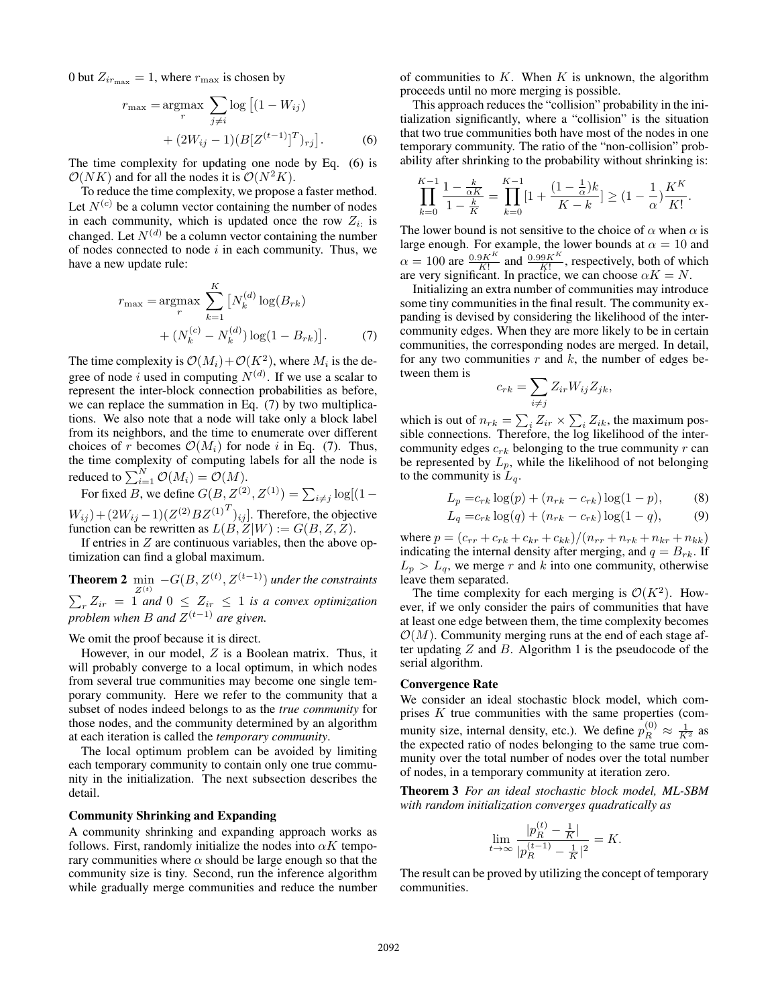0 but  $Z_{ir_{\text{max}}} = 1$ , where  $r_{\text{max}}$  is chosen by

$$
r_{\max} = \underset{r}{\operatorname{argmax}} \sum_{j \neq i} \log \left[ (1 - W_{ij}) + (2W_{ij} - 1)(B[Z^{(t-1)}]^T)_{rj} \right].
$$
 (6)

The time complexity for updating one node by Eq. (6) is  $\mathcal{O}(NK)$  and for all the nodes it is  $\mathcal{O}(N^2K)$ .

To reduce the time complexity, we propose a faster method. Let  $N^{(c)}$  be a column vector containing the number of nodes in each community, which is updated once the row  $Z_{i}$  is changed. Let  $N^{(d)}$  be a column vector containing the number of nodes connected to node  $i$  in each community. Thus, we have a new update rule:

$$
r_{\max} = \underset{r}{\operatorname{argmax}} \sum_{k=1}^{K} \left[ N_k^{(d)} \log(B_{rk}) \right. + \left( N_k^{(c)} - N_k^{(d)} \right) \log(1 - B_{rk}) \right]. \tag{7}
$$

The time complexity is  $\mathcal{O}(M_i) + \mathcal{O}(K^2)$ , where  $M_i$  is the degree of node i used in computing  $N^{(d)}$ . If we use a scalar to represent the inter-block connection probabilities as before, we can replace the summation in Eq. (7) by two multiplications. We also note that a node will take only a block label from its neighbors, and the time to enumerate over different choices of r becomes  $\mathcal{O}(M_i)$  for node i in Eq. (7). Thus, the time complexity of computing labels for all the node is reduced to  $\sum_{i=1}^N \mathcal{O}(M_i) = \mathcal{O}(M)$ .

For fixed B, we define  $G(B, Z^{(2)}, Z^{(1)}) = \sum_{i \neq j} \log[(1 W_{ij}$ ) +  $(2W_{ij}-1)(Z^{(2)}BZ^{(1)}^T)_{ij}$ ]. Therefore, the objective function can be rewritten as  $L(B, Z|W) := G(B, Z, Z)$ .

If entries in  $Z$  are continuous variables, then the above optimization can find a global maximum.

**Theorem 2**  $\min_{Z^{(t)}} - G(B, Z^{(t)}, Z^{(t-1)})$  *under the constraints*  $\sum_{r} Z_{ir} = 1$  and  $0 \leq Z_{ir} \leq 1$  is a convex optimization *problem when* B *and* Z (t−1) *are given.*

We omit the proof because it is direct.

However, in our model, Z is a Boolean matrix. Thus, it will probably converge to a local optimum, in which nodes from several true communities may become one single temporary community. Here we refer to the community that a subset of nodes indeed belongs to as the *true community* for those nodes, and the community determined by an algorithm at each iteration is called the *temporary community*.

The local optimum problem can be avoided by limiting each temporary community to contain only one true community in the initialization. The next subsection describes the detail.

#### Community Shrinking and Expanding

A community shrinking and expanding approach works as follows. First, randomly initialize the nodes into  $\alpha K$  temporary communities where  $\alpha$  should be large enough so that the community size is tiny. Second, run the inference algorithm while gradually merge communities and reduce the number of communities to  $K$ . When  $K$  is unknown, the algorithm proceeds until no more merging is possible.

This approach reduces the "collision" probability in the initialization significantly, where a "collision" is the situation that two true communities both have most of the nodes in one temporary community. The ratio of the "non-collision" probability after shrinking to the probability without shrinking is:

$$
\prod_{k=0}^{K-1} \frac{1 - \frac{k}{\alpha K}}{1 - \frac{k}{K}} = \prod_{k=0}^{K-1} [1 + \frac{(1 - \frac{1}{\alpha})k}{K - k}] \ge (1 - \frac{1}{\alpha}) \frac{K^K}{K!}.
$$

The lower bound is not sensitive to the choice of  $\alpha$  when  $\alpha$  is large enough. For example, the lower bounds at  $\alpha = 10$  and  $\alpha = 100$  are  $\frac{0.9K^K}{K!}$  and  $\frac{0.99K^K}{K!}$ , respectively, both of which are very significant. In practice, we can choose  $\alpha K = N$ .

Initializing an extra number of communities may introduce some tiny communities in the final result. The community expanding is devised by considering the likelihood of the intercommunity edges. When they are more likely to be in certain communities, the corresponding nodes are merged. In detail, for any two communities  $r$  and  $k$ , the number of edges between them is

$$
c_{rk} = \sum_{i \neq j} Z_{ir} W_{ij} Z_{jk},
$$

which is out of  $n_{rk} = \sum_i Z_{ir} \times \sum_i Z_{ik}$ , the maximum possible connections. Therefore, the log likelihood of the intercommunity edges  $c_{rk}$  belonging to the true community r can be represented by  $L_p$ , while the likelihood of not belonging to the community is  $L_q$ .

$$
L_p = c_{rk} \log(p) + (n_{rk} - c_{rk}) \log(1 - p),
$$
 (8)

$$
L_q = c_{rk} \log(q) + (n_{rk} - c_{rk}) \log(1 - q),
$$
 (9)

where  $p = (c_{rr} + c_{rk} + c_{kr} + c_{kk})/(n_{rr} + n_{rk} + n_{kr} + n_{kk})$ indicating the internal density after merging, and  $q = B_{rk}$ . If  $L_p > L_q$ , we merge r and k into one community, otherwise leave them separated.

The time complexity for each merging is  $\mathcal{O}(K^2)$ . However, if we only consider the pairs of communities that have at least one edge between them, the time complexity becomes  $\mathcal{O}(M)$ . Community merging runs at the end of each stage after updating  $Z$  and  $B$ . Algorithm 1 is the pseudocode of the serial algorithm.

#### Convergence Rate

We consider an ideal stochastic block model, which comprises K true communities with the same properties (community size, internal density, etc.). We define  $p_R^{(0)} \approx \frac{1}{K^2}$  as the expected ratio of nodes belonging to the same true community over the total number of nodes over the total number of nodes, in a temporary community at iteration zero.

Theorem 3 *For an ideal stochastic block model, ML-SBM with random initialization converges quadratically as*

$$
\lim_{t \to \infty} \frac{|p_R^{(t)} - \frac{1}{K}|}{|p_R^{(t-1)} - \frac{1}{K}|^2} = K.
$$

The result can be proved by utilizing the concept of temporary communities.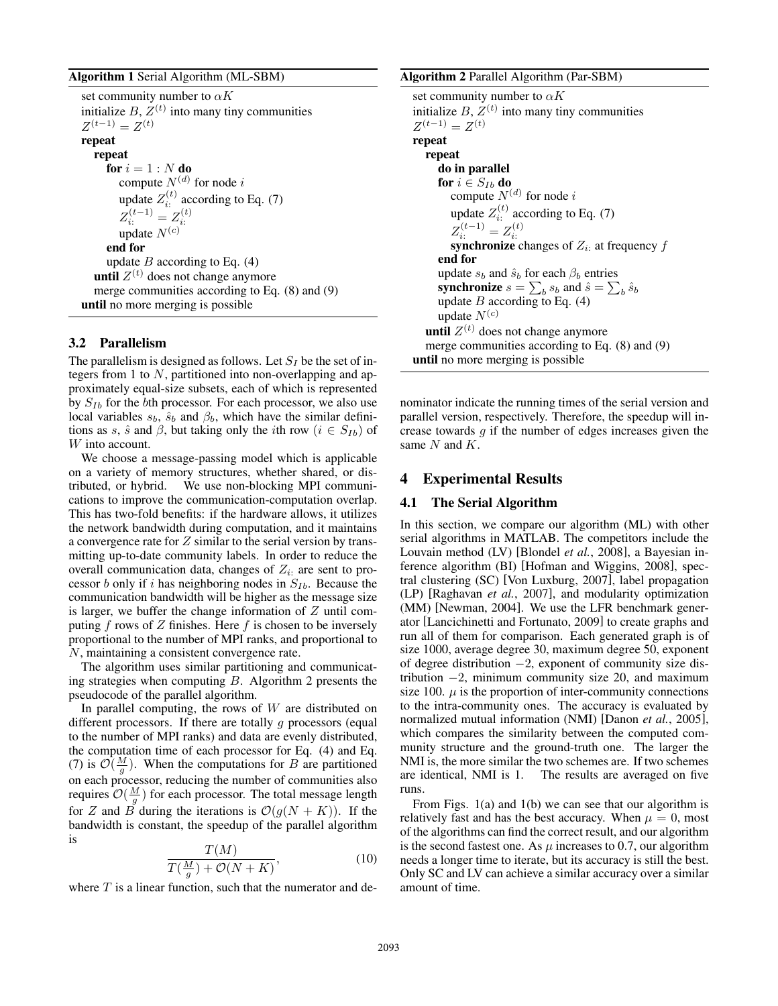#### Algorithm 1 Serial Algorithm (ML-SBM)

```
set community number to \alpha Kinitialize B, Z^{(t)} into many tiny communities
Z^{(t-1)} = Z^{(t)}repeat
  repeat
     for i=1:N do
        compute N^{(d)} for node i
        update Z_i^{(t)} according to Eq. (7)
        Z_{i:}^{(t-1)} = Z_{i:}^{(t)}update N^{(c)}end for
     update B according to Eq. (4)
   until Z^{(t)} does not change anymore
  merge communities according to Eq. (8) and (9)
until no more merging is possible
```
## 3.2 Parallelism

The parallelism is designed as follows. Let  $S_I$  be the set of integers from 1 to  $N$ , partitioned into non-overlapping and approximately equal-size subsets, each of which is represented by  $S_{Ib}$  for the bth processor. For each processor, we also use local variables  $s_b$ ,  $\hat{s}_b$  and  $\beta_b$ , which have the similar definitions as s,  $\hat{s}$  and  $\beta$ , but taking only the *i*th row  $(i \in S_{Ib})$  of W into account.

We choose a message-passing model which is applicable on a variety of memory structures, whether shared, or distributed, or hybrid. We use non-blocking MPI communications to improve the communication-computation overlap. This has two-fold benefits: if the hardware allows, it utilizes the network bandwidth during computation, and it maintains a convergence rate for Z similar to the serial version by transmitting up-to-date community labels. In order to reduce the overall communication data, changes of  $Z_i$ : are sent to processor b only if i has neighboring nodes in  $S_{Ib}$ . Because the communication bandwidth will be higher as the message size is larger, we buffer the change information of  $Z$  until computing  $f$  rows of  $Z$  finishes. Here  $f$  is chosen to be inversely proportional to the number of MPI ranks, and proportional to N, maintaining a consistent convergence rate.

The algorithm uses similar partitioning and communicating strategies when computing  $B$ . Algorithm 2 presents the pseudocode of the parallel algorithm.

In parallel computing, the rows of  $W$  are distributed on different processors. If there are totally  $g$  processors (equal to the number of MPI ranks) and data are evenly distributed, the computation time of each processor for Eq. (4) and Eq. (7) is  $\mathcal{O}(\frac{M}{g})$ . When the computations for B are partitioned on each processor, reducing the number of communities also requires  $\mathcal{O}(\frac{M}{g})$  for each processor. The total message length for Z and B during the iterations is  $\mathcal{O}(g(N+K))$ . If the bandwidth is constant, the speedup of the parallel algorithm is

$$
\frac{T(M)}{T(\frac{M}{g}) + \mathcal{O}(N+K)},\tag{10}
$$

where  $T$  is a linear function, such that the numerator and de-

#### Algorithm 2 Parallel Algorithm (Par-SBM)

```
set community number to \alpha Kinitialize B, Z^{(t)} into many tiny communities
Z^{(t-1)} = Z^{(t)}repeat
  repeat
      do in parallel
      for i \in S_{Ib} do
         compute N^{(d)} for node i
         update Z_i^{(t)} according to Eq. (7)
                    i:
         Z_{i:}^{(t-1)} = Z_{i:}^{(t)}<br>synchronize changes of Z_{i:} at frequency fend for
      update s_b and \hat{s}_b for each \beta_b entries
      synchronize s = \sum_b s_b and \hat{s} = \sum_b \hat{s}_bupdate B according to Eq. (4)
      update N^{(c)}until Z^{(t)} does not change anymore
   merge communities according to Eq. (8) and (9)
until no more merging is possible
```
nominator indicate the running times of the serial version and parallel version, respectively. Therefore, the speedup will increase towards  $g$  if the number of edges increases given the same  $N$  and  $K$ .

#### 4 Experimental Results

### 4.1 The Serial Algorithm

In this section, we compare our algorithm (ML) with other serial algorithms in MATLAB. The competitors include the Louvain method (LV) [Blondel *et al.*, 2008], a Bayesian inference algorithm (BI) [Hofman and Wiggins, 2008], spectral clustering (SC) [Von Luxburg, 2007], label propagation (LP) [Raghavan *et al.*, 2007], and modularity optimization (MM) [Newman, 2004]. We use the LFR benchmark generator [Lancichinetti and Fortunato, 2009] to create graphs and run all of them for comparison. Each generated graph is of size 1000, average degree 30, maximum degree 50, exponent of degree distribution −2, exponent of community size distribution  $-2$ , minimum community size 20, and maximum size 100.  $\mu$  is the proportion of inter-community connections to the intra-community ones. The accuracy is evaluated by normalized mutual information (NMI) [Danon *et al.*, 2005], which compares the similarity between the computed community structure and the ground-truth one. The larger the NMI is, the more similar the two schemes are. If two schemes are identical, NMI is 1. The results are averaged on five runs.

From Figs. 1(a) and 1(b) we can see that our algorithm is relatively fast and has the best accuracy. When  $\mu = 0$ , most of the algorithms can find the correct result, and our algorithm is the second fastest one. As  $\mu$  increases to 0.7, our algorithm needs a longer time to iterate, but its accuracy is still the best. Only SC and LV can achieve a similar accuracy over a similar amount of time.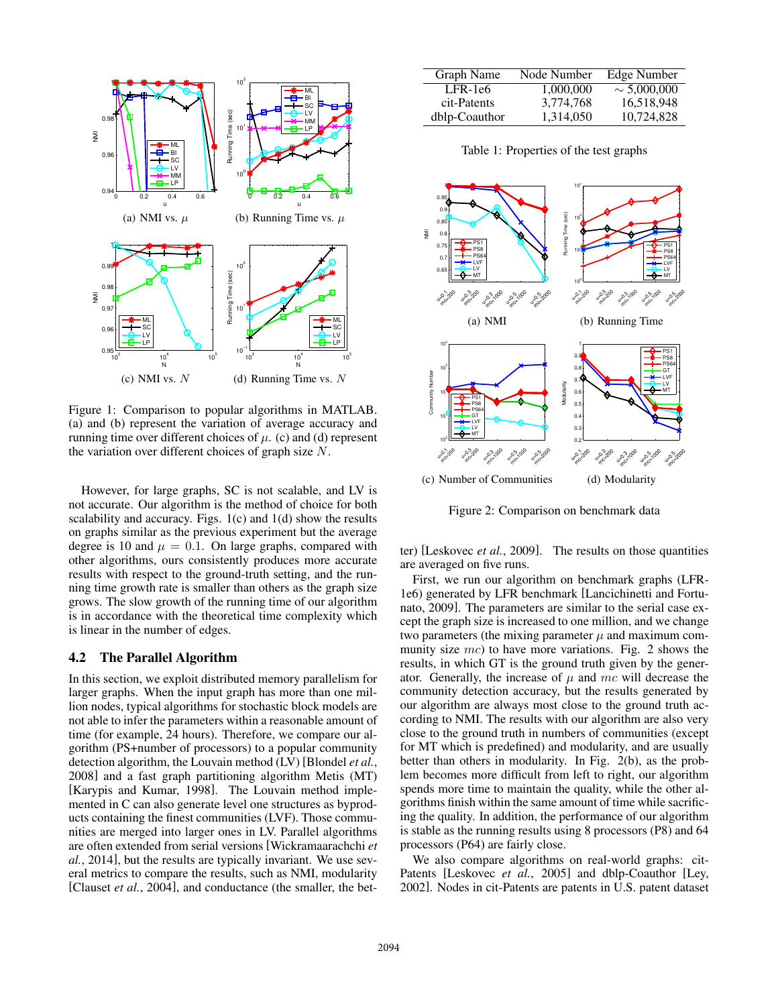

Figure 1: Comparison to popular algorithms in MATLAB. (a) and (b) represent the variation of average accuracy and running time over different choices of  $\mu$ . (c) and (d) represent the variation over different choices of graph size  $N$ .

However, for large graphs, SC is not scalable, and LV is not accurate. Our algorithm is the method of choice for both scalability and accuracy. Figs.  $1(c)$  and  $1(d)$  show the results on graphs similar as the previous experiment but the average degree is 10 and  $\mu = 0.1$ . On large graphs, compared with other algorithms, ours consistently produces more accurate results with respect to the ground-truth setting, and the running time growth rate is smaller than others as the graph size grows. The slow growth of the running time of our algorithm is in accordance with the theoretical time complexity which is linear in the number of edges.

### 4.2 The Parallel Algorithm

In this section, we exploit distributed memory parallelism for larger graphs. When the input graph has more than one million nodes, typical algorithms for stochastic block models are not able to infer the parameters within a reasonable amount of time (for example, 24 hours). Therefore, we compare our algorithm (PS+number of processors) to a popular community detection algorithm, the Louvain method (LV) [Blondel *et al.*, 2008] and a fast graph partitioning algorithm Metis (MT) [Karypis and Kumar, 1998]. The Louvain method implemented in C can also generate level one structures as byproducts containing the finest communities (LVF). Those communities are merged into larger ones in LV. Parallel algorithms are often extended from serial versions [Wickramaarachchi *et al.*, 2014], but the results are typically invariant. We use several metrics to compare the results, such as NMI, modularity [Clauset *et al.*, 2004], and conductance (the smaller, the bet-

| Graph Name    | Node Number | Edge Number      |
|---------------|-------------|------------------|
| LFR-1e6       | 1,000,000   | $\sim 5,000,000$ |
| cit-Patents   | 3,774,768   | 16,518,948       |
| dblp-Coauthor | 1,314,050   | 10,724,828       |

Table 1: Properties of the test graphs



Figure 2: Comparison on benchmark data

ter) [Leskovec *et al.*, 2009]. The results on those quantities are averaged on five runs.

First, we run our algorithm on benchmark graphs (LFR-1e6) generated by LFR benchmark [Lancichinetti and Fortunato, 2009]. The parameters are similar to the serial case except the graph size is increased to one million, and we change two parameters (the mixing parameter  $\mu$  and maximum community size  $mc$ ) to have more variations. Fig. 2 shows the results, in which GT is the ground truth given by the generator. Generally, the increase of  $\mu$  and mc will decrease the community detection accuracy, but the results generated by our algorithm are always most close to the ground truth according to NMI. The results with our algorithm are also very close to the ground truth in numbers of communities (except for MT which is predefined) and modularity, and are usually better than others in modularity. In Fig. 2(b), as the problem becomes more difficult from left to right, our algorithm spends more time to maintain the quality, while the other algorithms finish within the same amount of time while sacrificing the quality. In addition, the performance of our algorithm is stable as the running results using 8 processors (P8) and 64 processors (P64) are fairly close.

We also compare algorithms on real-world graphs: cit-Patents [Leskovec *et al.*, 2005] and dblp-Coauthor [Ley, 2002]. Nodes in cit-Patents are patents in U.S. patent dataset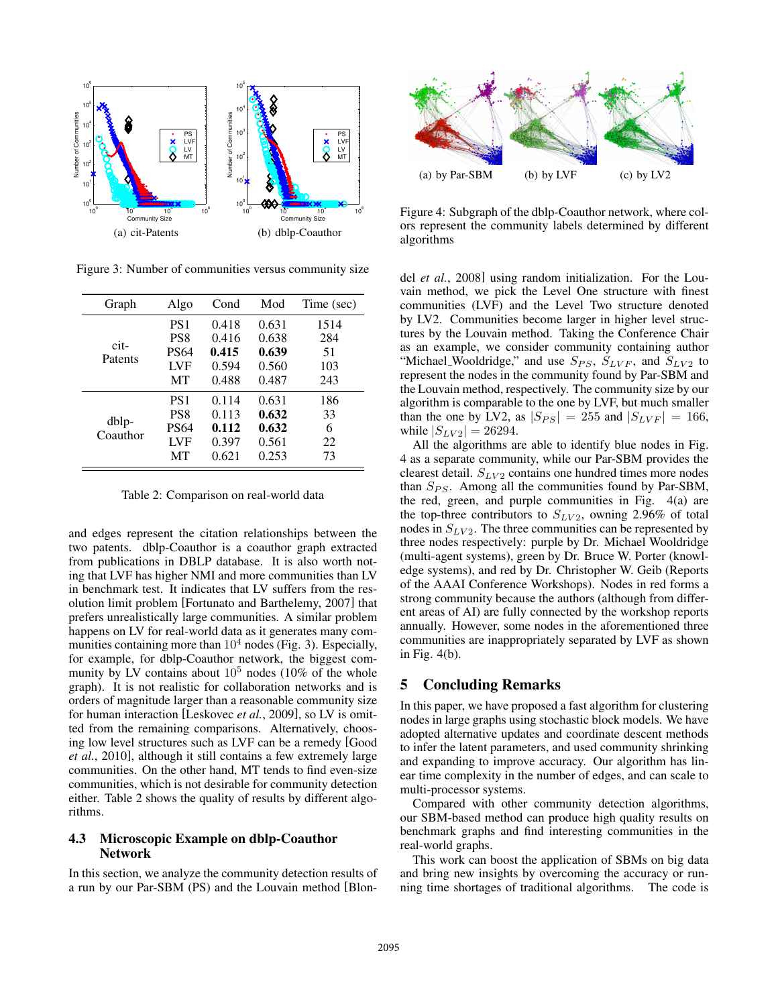

Figure 3: Number of communities versus community size

| Graph             | Algo            | Cond  | Mod   | Time (sec) |
|-------------------|-----------------|-------|-------|------------|
| $cit-$<br>Patents | PS <sub>1</sub> | 0.418 | 0.631 | 1514       |
|                   | PS8             | 0.416 | 0.638 | 284        |
|                   | <b>PS64</b>     | 0.415 | 0.639 | 51         |
|                   | LVF             | 0.594 | 0.560 | 103        |
|                   | MТ              | 0.488 | 0.487 | 243        |
| dblp-<br>Coauthor | PS <sub>1</sub> | 0.114 | 0.631 | 186        |
|                   | PS8             | 0.113 | 0.632 | 33         |
|                   | <b>PS64</b>     | 0.112 | 0.632 | 6          |
|                   | <b>LVF</b>      | 0.397 | 0.561 | 22         |
|                   | MТ              | 0.621 | 0.253 | 73         |

Table 2: Comparison on real-world data

and edges represent the citation relationships between the two patents. dblp-Coauthor is a coauthor graph extracted from publications in DBLP database. It is also worth noting that LVF has higher NMI and more communities than LV in benchmark test. It indicates that LV suffers from the resolution limit problem [Fortunato and Barthelemy, 2007] that prefers unrealistically large communities. A similar problem happens on LV for real-world data as it generates many communities containing more than  $10^4$  nodes (Fig. 3). Especially, for example, for dblp-Coauthor network, the biggest community by LV contains about  $10<sup>5</sup>$  nodes (10% of the whole graph). It is not realistic for collaboration networks and is orders of magnitude larger than a reasonable community size for human interaction [Leskovec *et al.*, 2009], so LV is omitted from the remaining comparisons. Alternatively, choosing low level structures such as LVF can be a remedy [Good *et al.*, 2010], although it still contains a few extremely large communities. On the other hand, MT tends to find even-size communities, which is not desirable for community detection either. Table 2 shows the quality of results by different algorithms.

## 4.3 Microscopic Example on dblp-Coauthor Network

In this section, we analyze the community detection results of a run by our Par-SBM (PS) and the Louvain method [Blon-



Figure 4: Subgraph of the dblp-Coauthor network, where colors represent the community labels determined by different algorithms

del *et al.*, 2008] using random initialization. For the Louvain method, we pick the Level One structure with finest communities (LVF) and the Level Two structure denoted by LV2. Communities become larger in higher level structures by the Louvain method. Taking the Conference Chair as an example, we consider community containing author "Michael Wooldridge," and use  $S_{PS}$ ,  $S_{LVF}$ , and  $S_{LV2}$  to represent the nodes in the community found by Par-SBM and the Louvain method, respectively. The community size by our algorithm is comparable to the one by LVF, but much smaller than the one by LV2, as  $|S_{PS}| = 255$  and  $|S_{LVF}| = 166$ , while  $|S_{LV2}| = 26294$ .

All the algorithms are able to identify blue nodes in Fig. 4 as a separate community, while our Par-SBM provides the clearest detail.  $S_{LV2}$  contains one hundred times more nodes than  $S_{PS}$ . Among all the communities found by Par-SBM, the red, green, and purple communities in Fig. 4(a) are the top-three contributors to  $S_{LV2}$ , owning 2.96% of total nodes in  $S_{LV2}$ . The three communities can be represented by three nodes respectively: purple by Dr. Michael Wooldridge (multi-agent systems), green by Dr. Bruce W. Porter (knowledge systems), and red by Dr. Christopher W. Geib (Reports of the AAAI Conference Workshops). Nodes in red forms a strong community because the authors (although from different areas of AI) are fully connected by the workshop reports annually. However, some nodes in the aforementioned three communities are inappropriately separated by LVF as shown in Fig. 4(b).

## 5 Concluding Remarks

In this paper, we have proposed a fast algorithm for clustering nodes in large graphs using stochastic block models. We have adopted alternative updates and coordinate descent methods to infer the latent parameters, and used community shrinking and expanding to improve accuracy. Our algorithm has linear time complexity in the number of edges, and can scale to multi-processor systems.

Compared with other community detection algorithms, our SBM-based method can produce high quality results on benchmark graphs and find interesting communities in the real-world graphs.

This work can boost the application of SBMs on big data and bring new insights by overcoming the accuracy or running time shortages of traditional algorithms. The code is